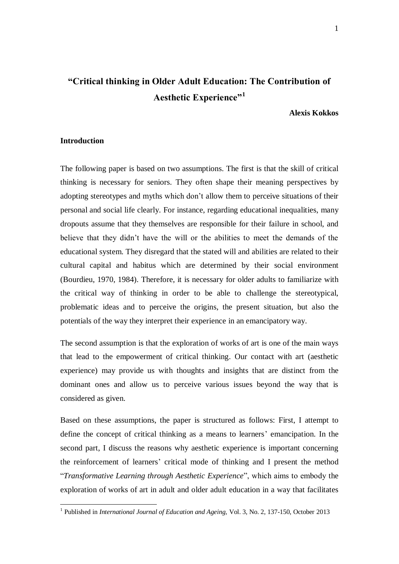# **"Critical thinking in Older Adult Education: The Contribution of Aesthetic Experience"<sup>1</sup>**

# **Alexis Kokkos**

## **Introduction**

<u>.</u>

The following paper is based on two assumptions. The first is that the skill of critical thinking is necessary for seniors. They often shape their meaning perspectives by adopting stereotypes and myths which don't allow them to perceive situations of their personal and social life clearly. For instance, regarding educational inequalities, many dropouts assume that they themselves are responsible for their failure in school, and believe that they didn't have the will or the abilities to meet the demands of the educational system. They disregard that the stated will and abilities are related to their cultural capital and habitus which are determined by their social environment (Bourdieu, 1970, 1984). Therefore, it is necessary for older adults to familiarize with the critical way of thinking in order to be able to challenge the stereotypical, problematic ideas and to perceive the origins, the present situation, but also the potentials of the way they interpret their experience in an emancipatory way.

The second assumption is that the exploration of works of art is one of the main ways that lead to the empowerment of critical thinking. Our contact with art (aesthetic experience) may provide us with thoughts and insights that are distinct from the dominant ones and allow us to perceive various issues beyond the way that is considered as given.

Based on these assumptions, the paper is structured as follows: First, I attempt to define the concept of critical thinking as a means to learners' emancipation. In the second part, I discuss the reasons why aesthetic experience is important concerning the reinforcement of learners' critical mode of thinking and I present the method "*Transformative Learning through Aesthetic Experience*", which aims to embody the exploration of works of art in adult and older adult education in a way that facilitates

<sup>&</sup>lt;sup>1</sup> Published in *International Journal of Education and Ageing*, Vol. 3, No. 2, 137-150, October 2013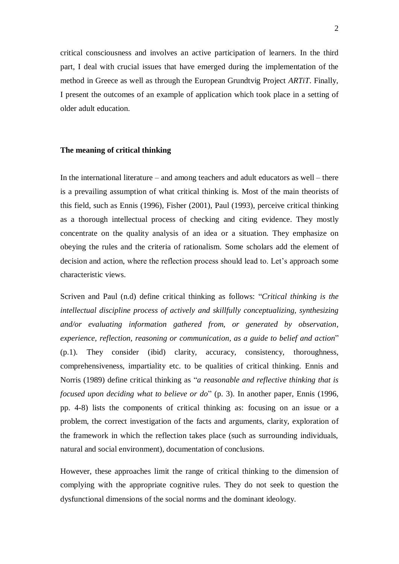critical consciousness and involves an active participation of learners. In the third part, I deal with crucial issues that have emerged during the implementation of the method in Greece as well as through the European Grundtvig Project *ARTiT*. Finally, I present the outcomes of an example of application which took place in a setting of older adult education.

### **The meaning of critical thinking**

In the international literature – and among teachers and adult educators as well – there is a prevailing assumption of what critical thinking is. Most of the main theorists of this field, such as Ennis (1996), Fisher (2001), Paul (1993), perceive critical thinking as a thorough intellectual process of checking and citing evidence. They mostly concentrate on the quality analysis of an idea or a situation. They emphasize on obeying the rules and the criteria of rationalism. Some scholars add the element of decision and action, where the reflection process should lead to. Let's approach some characteristic views.

Scriven and Paul (n.d) define critical thinking as follows: "*Critical thinking is the intellectual discipline process of actively and skillfully conceptualizing, synthesizing and/or evaluating information gathered from, or generated by observation, experience, reflection, reasoning or communication, as a guide to belief and action*" (p.1). They consider (ibid) clarity, accuracy, consistency, thoroughness, comprehensiveness, impartiality etc. to be qualities of critical thinking. Ennis and Norris (1989) define critical thinking as "*a reasonable and reflective thinking that is focused upon deciding what to believe or do*" (p. 3). In another paper, Ennis (1996, pp. 4-8) lists the components of critical thinking as: focusing on an issue or a problem, the correct investigation of the facts and arguments, clarity, exploration of the framework in which the reflection takes place (such as surrounding individuals, natural and social environment), documentation of conclusions.

However, these approaches limit the range of critical thinking to the dimension of complying with the appropriate cognitive rules. They do not seek to question the dysfunctional dimensions of the social norms and the dominant ideology.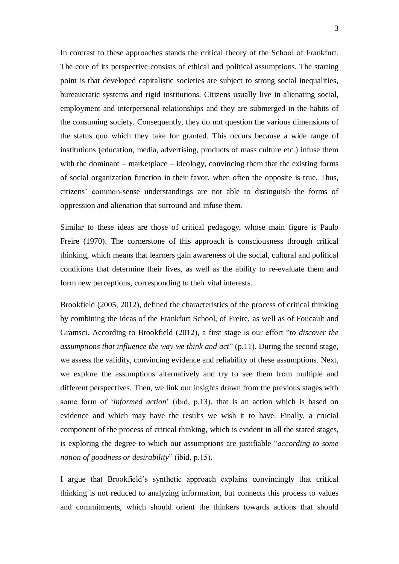In contrast to these approaches stands the critical theory of the School of Frankfurt. The core of its perspective consists of ethical and political assumptions. The starting point is that developed capitalistic societies are subject to strong social inequalities, bureaucratic systems and rigid institutions. Citizens usually live in alienating social, employment and interpersonal relationships and they are submerged in the habits of the consuming society. Consequently, they do not question the various dimensions of the status quo which they take for granted. This occurs because a wide range of institutions (education, media, advertising, products of mass culture etc.) infuse them with the dominant – marketplace – ideology, convincing them that the existing forms of social organization function in their favor, when often the opposite is true. Thus, citizens' common-sense understandings are not able to distinguish the forms of oppression and alienation that surround and infuse them.

Similar to these ideas are those of critical pedagogy, whose main figure is Paulo Freire (1970). The cornerstone of this approach is consciousness through critical thinking, which means that learners gain awareness of the social, cultural and political conditions that determine their lives, as well as the ability to re-evaluate them and form new perceptions, corresponding to their vital interests.

Brookfield (2005, 2012), defined the characteristics of the process of critical thinking by combining the ideas of the Frankfurt School, of Freire, as well as of Foucault and Gramsci. According to Brookfield (2012), a first stage is our effort "*to discover the assumptions that influence the way we think and act*" (p.11). During the second stage, we assess the validity, convincing evidence and reliability of these assumptions. Next, we explore the assumptions alternatively and try to see them from multiple and different perspectives. Then, we link our insights drawn from the previous stages with some form of '*informed action*' (ibid, p.13), that is an action which is based on evidence and which may have the results we wish it to have. Finally, a crucial component of the process of critical thinking, which is evident in all the stated stages, is exploring the degree to which our assumptions are justifiable "*according to some notion of goodness or desirability*" (ibid, p.15).

I argue that Brookfield's synthetic approach explains convincingly that critical thinking is not reduced to analyzing information, but connects this process to values and commitments, which should orient the thinkers towards actions that should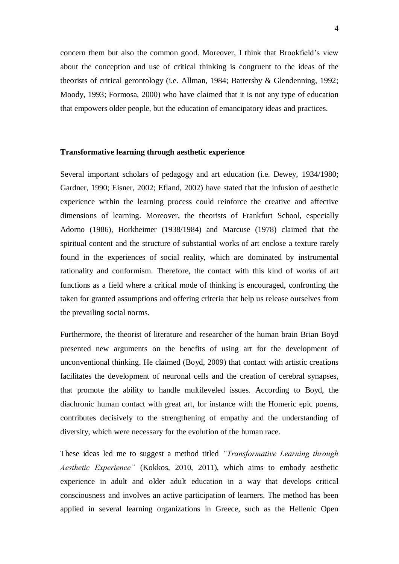concern them but also the common good. Moreover, I think that Brookfield's view about the conception and use of critical thinking is congruent to the ideas of the theorists of critical gerontology (i.e. Allman, 1984; Battersby & Glendenning, 1992; Moody, 1993; Formosa, 2000) who have claimed that it is not any type of education that empowers older people, but the education of emancipatory ideas and practices.

### **Transformative learning through aesthetic experience**

Several important scholars of pedagogy and art education (i.e. Dewey, 1934/1980; Gardner, 1990; Eisner, 2002; Efland, 2002) have stated that the infusion of aesthetic experience within the learning process could reinforce the creative and affective dimensions of learning. Moreover, the theorists of Frankfurt School, especially Adorno (1986), Horkheimer (1938/1984) and Marcuse (1978) claimed that the spiritual content and the structure of substantial works of art enclose a texture rarely found in the experiences of social reality, which are dominated by instrumental rationality and conformism. Therefore, the contact with this kind of works of art functions as a field where a critical mode of thinking is encouraged, confronting the taken for granted assumptions and offering criteria that help us release ourselves from the prevailing social norms.

Furthermore, the theorist of literature and researcher of the human brain Brian Boyd presented new arguments on the benefits of using art for the development of unconventional thinking. He claimed (Boyd, 2009) that contact with artistic creations facilitates the development of neuronal cells and the creation of cerebral synapses, that promote the ability to handle multileveled issues. According to Boyd, the diachronic human contact with great art, for instance with the Homeric epic poems, contributes decisively to the strengthening of empathy and the understanding of diversity, which were necessary for the evolution of the human race.

These ideas led me to suggest a method titled *"Transformative Learning through Aesthetic Experience"* (Kokkos, 2010, 2011), which aims to embody aesthetic experience in adult and older adult education in a way that develops critical consciousness and involves an active participation of learners. The method has been applied in several learning organizations in Greece, such as the Hellenic Open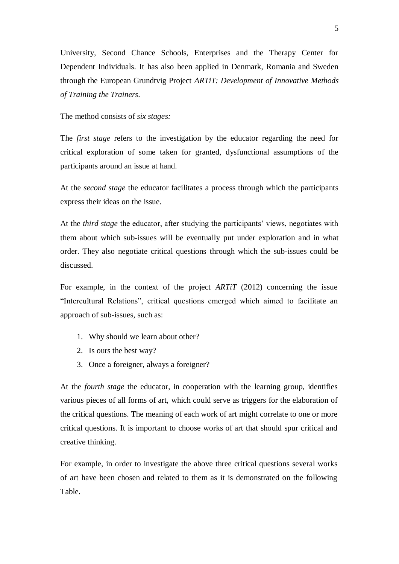University, Second Chance Schools, Enterprises and the Therapy Center for Dependent Individuals. It has also been applied in Denmark, Romania and Sweden through the European Grundtvig Project *ARTiT: Development of Innovative Methods of Training the Trainers*.

The method consists of *six stages:*

The *first stage* refers to the investigation by the educator regarding the need for critical exploration of some taken for granted, dysfunctional assumptions of the participants around an issue at hand.

At the *second stage* the educator facilitates a process through which the participants express their ideas on the issue.

At the *third stage* the educator, after studying the participants' views, negotiates with them about which sub-issues will be eventually put under exploration and in what order. They also negotiate critical questions through which the sub-issues could be discussed.

For example, in the context of the project *ARTiT* (2012) concerning the issue "Intercultural Relations", critical questions emerged which aimed to facilitate an approach of sub-issues, such as:

- 1. Why should we learn about other?
- 2. Is ours the best way?
- 3. Once a foreigner, always a foreigner?

At the *fourth stage* the educator, in cooperation with the learning group, identifies various pieces of all forms of art, which could serve as triggers for the elaboration of the critical questions. The meaning of each work of art might correlate to one or more critical questions. It is important to choose works of art that should spur critical and creative thinking.

For example, in order to investigate the above three critical questions several works of art have been chosen and related to them as it is demonstrated on the following Table.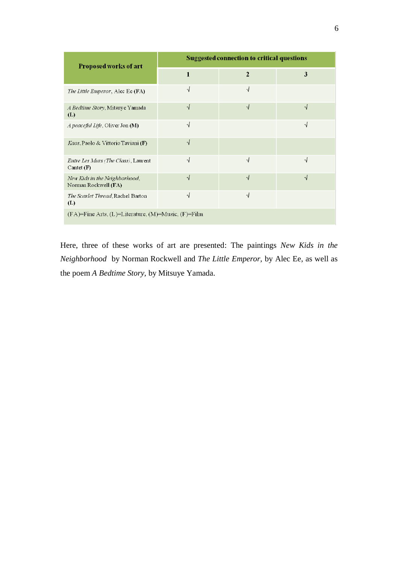| <b>Proposed works of art</b>                                    | <b>Suggested connection to critical questions</b> |                |    |
|-----------------------------------------------------------------|---------------------------------------------------|----------------|----|
|                                                                 | 1                                                 | $\overline{2}$ | 3  |
| The Little Emperor, Alec Ee (FA)                                | V                                                 | √              |    |
| A Bedtime Story, Mitsuye Yamada<br>(L)                          | √                                                 | √              | ึง |
| <i>A peaceful Life</i> , Oliver Jon (M)                         | √                                                 |                | √  |
| <i>Kaos</i> , Paolo & Vittorio Taviani (F)                      | √                                                 |                |    |
| <i>Entre Les Murs (The Class)</i> , Laurent<br>Cantet $(F)$     | √                                                 | $\sqrt{ }$     | ٦I |
| New Kids in the Neighborhood,<br>Norman Rockwell (FA)           | √                                                 | ٦I             | ٦J |
| The Scarlet Thread, Rachel Barton<br>(L)                        | $\sqrt{}$                                         | $\sqrt{ }$     |    |
| $(FA)=$ Fine Arts, $(L)=$ Literature, $(M)=$ Music, $(F)=$ Film |                                                   |                |    |

Here, three of these works of art are presented: The paintings *New Kids in the Neighborhood* by Norman Rockwell and *The Little Emperor,* by Alec Ee, as well as the poem *A Bedtime Story,* by Mitsuye Yamada.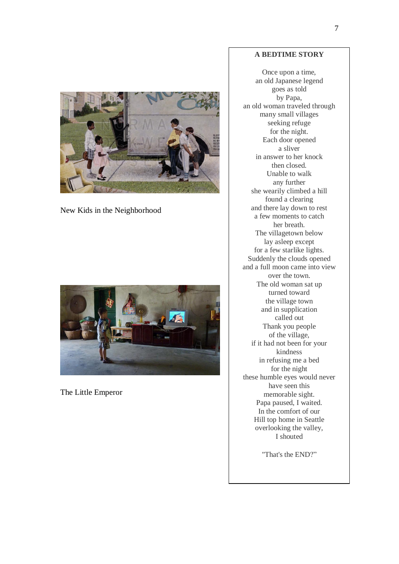

New Kids in the Neighborhood



The Little Emperor

# **A BEDTIME STORY**

Once upon a time, an old Japanese legend goes as told by Papa, an old woman traveled through many small villages seeking refuge for the night. Each door opened a sliver in answer to her knock then closed. Unable to walk any further she wearily climbed a hill found a clearing and there lay down to rest a few moments to catch her breath. The villagetown below lay asleep except for a few starlike lights. Suddenly the clouds opened and a full moon came into view over the town. The old woman sat up turned toward the village town and in supplication called out Thank you people of the village, if it had not been for your kindness in refusing me a bed for the night these humble eyes would never have seen this memorable sight. Papa paused, I waited. In the comfort of our Hill top home in Seattle overlooking the valley, I shouted

"That's the END?"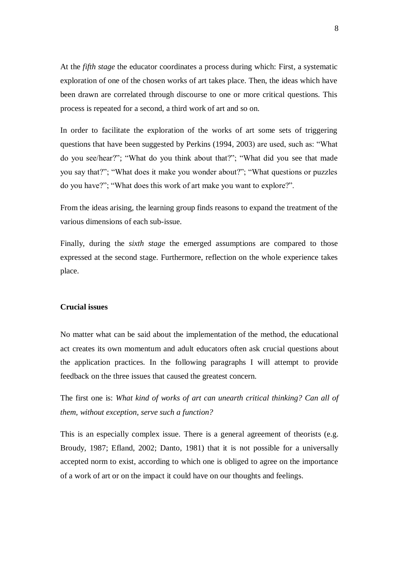At the *fifth stage* the educator coordinates a process during which: First, a systematic exploration of one of the chosen works of art takes place. Then, the ideas which have been drawn are correlated through discourse to one or more critical questions. This process is repeated for a second, a third work of art and so on.

In order to facilitate the exploration of the works of art some sets of triggering questions that have been suggested by Perkins (1994, 2003) are used, such as: "What do you see/hear?"; "What do you think about that?"; "What did you see that made you say that?"; "What does it make you wonder about?"; "What questions or puzzles do you have?"; "What does this work of art make you want to explore?".

From the ideas arising, the learning group finds reasons to expand the treatment of the various dimensions of each sub-issue.

Finally, during the *sixth stage* the emerged assumptions are compared to those expressed at the second stage. Furthermore, reflection on the whole experience takes place.

# **Crucial issues**

No matter what can be said about the implementation of the method, the educational act creates its own momentum and adult educators often ask crucial questions about the application practices. In the following paragraphs I will attempt to provide feedback on the three issues that caused the greatest concern.

The first one is: *What kind of works of art can unearth critical thinking? Can all of them, without exception, serve such a function?*

This is an especially complex issue. There is a general agreement of theorists (e.g. Broudy, 1987; Efland, 2002; Danto, 1981) that it is not possible for a universally accepted norm to exist, according to which one is obliged to agree on the importance of a work of art or on the impact it could have on our thoughts and feelings.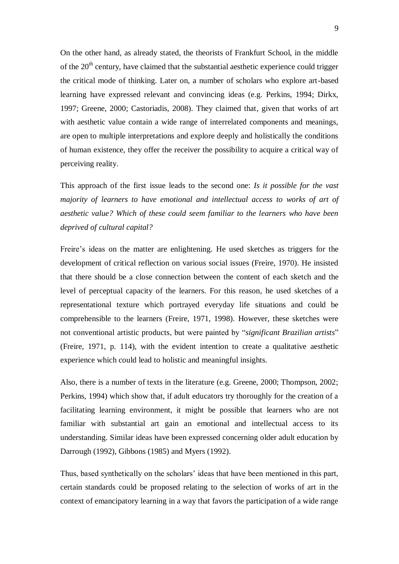On the other hand, as already stated, the theorists of Frankfurt School, in the middle of the  $20<sup>th</sup>$  century, have claimed that the substantial aesthetic experience could trigger the critical mode of thinking. Later on, a number of scholars who explore art-based learning have expressed relevant and convincing ideas (e.g. Perkins, 1994; Dirkx, 1997; Greene, 2000; Castoriadis, 2008). They claimed that, given that works of art with aesthetic value contain a wide range of interrelated components and meanings, are open to multiple interpretations and explore deeply and holistically the conditions of human existence, they offer the receiver the possibility to acquire a critical way of perceiving reality.

This approach of the first issue leads to the second one: *Is it possible for the vast majority of learners to have emotional and intellectual access to works of art of aesthetic value? Which of these could seem familiar to the learners who have been deprived of cultural capital?*

Freire's ideas on the matter are enlightening. He used sketches as triggers for the development of critical reflection on various social issues (Freire, 1970). He insisted that there should be a close connection between the content of each sketch and the level of perceptual capacity of the learners. For this reason, he used sketches of a representational texture which portrayed everyday life situations and could be comprehensible to the learners (Freire, 1971, 1998). However, these sketches were not conventional artistic products, but were painted by "*significant Brazilian artists*" (Freire, 1971, p. 114), with the evident intention to create a qualitative aesthetic experience which could lead to holistic and meaningful insights.

Also, there is a number of texts in the literature (e.g. Greene, 2000; Thompson, 2002; Perkins, 1994) which show that, if adult educators try thoroughly for the creation of a facilitating learning environment, it might be possible that learners who are not familiar with substantial art gain an emotional and intellectual access to its understanding. Similar ideas have been expressed concerning older adult education by Darrough (1992), Gibbons (1985) and Myers (1992).

Thus, based synthetically on the scholars' ideas that have been mentioned in this part, certain standards could be proposed relating to the selection of works of art in the context of emancipatory learning in a way that favors the participation of a wide range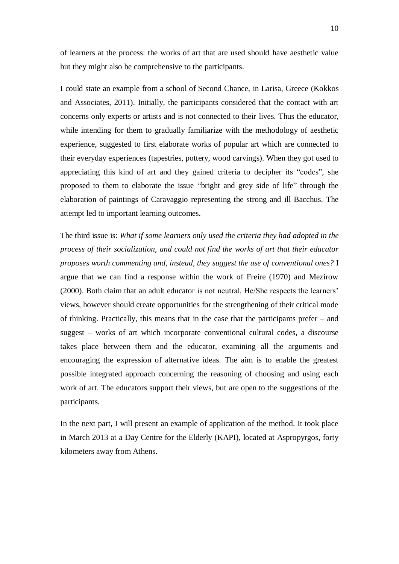of learners at the process: the works of art that are used should have aesthetic value but they might also be comprehensive to the participants.

I could state an example from a school of Second Chance, in Larisa, Greece (Kokkos and Associates, 2011). Initially, the participants considered that the contact with art concerns only experts or artists and is not connected to their lives. Thus the educator, while intending for them to gradually familiarize with the methodology of aesthetic experience, suggested to first elaborate works of popular art which are connected to their everyday experiences (tapestries, pottery, wood carvings). When they got used to appreciating this kind of art and they gained criteria to decipher its "codes", she proposed to them to elaborate the issue "bright and grey side of life" through the elaboration of paintings of Caravaggio representing the strong and ill Bacchus. The attempt led to important learning outcomes.

The third issue is: *What if some learners only used the criteria they had adopted in the process of their socialization, and could not find the works of art that their educator proposes worth commenting and, instead, they suggest the use of conventional ones?* I argue that we can find a response within the work of Freire (1970) and Mezirow (2000). Both claim that an adult educator is not neutral. He/She respects the learners' views, however should create opportunities for the strengthening of their critical mode of thinking. Practically, this means that in the case that the participants prefer – and suggest – works of art which incorporate conventional cultural codes, a discourse takes place between them and the educator, examining all the arguments and encouraging the expression of alternative ideas. The aim is to enable the greatest possible integrated approach concerning the reasoning of choosing and using each work of art. The educators support their views, but are open to the suggestions of the participants.

In the next part, I will present an example of application of the method. It took place in March 2013 at a Day Centre for the Elderly (KAPI), located at Aspropyrgos, forty kilometers away from Athens.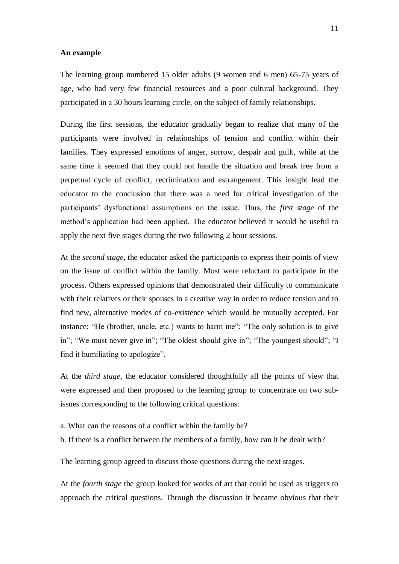#### **An example**

The learning group numbered 15 older adults (9 women and 6 men) 65-75 years of age, who had very few financial resources and a poor cultural background. They participated in a 30 hours learning circle, on the subject of family relationships.

During the first sessions, the educator gradually began to realize that many of the participants were involved in relationships of tension and conflict within their families. They expressed emotions of anger, sorrow, despair and guilt, while at the same time it seemed that they could not handle the situation and break free from a perpetual cycle of conflict, recrimination and estrangement. This insight lead the educator to the conclusion that there was a need for critical investigation of the participants' dysfunctional assumptions on the issue. Thus, the *first stage* of the method's application had been applied. The educator believed it would be useful to apply the next five stages during the two following 2 hour sessions.

At the *second stage*, the educator asked the participants to express their points of view on the issue of conflict within the family. Most were reluctant to participate in the process. Others expressed opinions that demonstrated their difficulty to communicate with their relatives or their spouses in a creative way in order to reduce tension and to find new, alternative modes of co-existence which would be mutually accepted. For instance: "He (brother, uncle, etc.) wants to harm me"; "The only solution is to give in"; "We must never give in"; "The oldest should give in"; "The youngest should"; "I find it humiliating to apologize".

At the *third stage*, the educator considered thoughtfully all the points of view that were expressed and then proposed to the learning group to concentrate on two subissues corresponding to the following critical questions:

- a. What can the reasons of a conflict within the family be?
- b. If there is a conflict between the members of a family, how can it be dealt with?

The learning group agreed to discuss those questions during the next stages.

At the *fourth stage* the group looked for works of art that could be used as triggers to approach the critical questions. Through the discussion it became obvious that their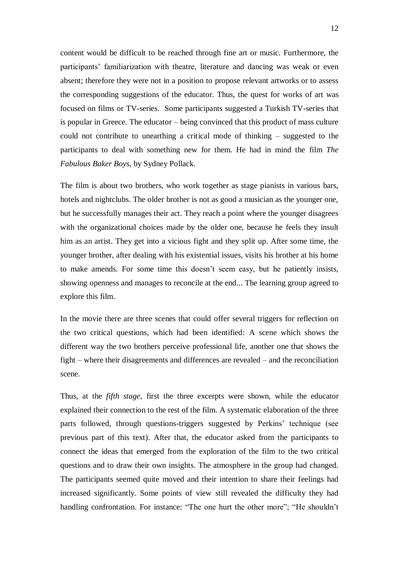content would be difficult to be reached through fine art or music. Furthermore, the participants' familiarization with theatre, literature and dancing was weak or even absent; therefore they were not in a position to propose relevant artworks or to assess the corresponding suggestions of the educator. Thus, the quest for works of art was focused on films or TV-series. Some participants suggested a Turkish TV-series that is popular in Greece. The educator – being convinced that this product of mass culture could not contribute to unearthing a critical mode of thinking – suggested to the participants to deal with something new for them. He had in mind the film *The Fabulous Baker Boys*, by Sydney Pollack.

The film is about two brothers, who work together as stage pianists in various bars, hotels and nightclubs. The older brother is not as good a musician as the younger one, but he successfully manages their act. They reach a point where the younger disagrees with the organizational choices made by the older one, because he feels they insult him as an artist. They get into a vicious fight and they split up. After some time, the younger brother, after dealing with his existential issues, visits his brother at his home to make amends. For some time this doesn't seem easy, but he patiently insists, showing openness and manages to reconcile at the end... The learning group agreed to explore this film.

In the movie there are three scenes that could offer several triggers for reflection on the two critical questions, which had been identified: A scene which shows the different way the two brothers perceive professional life, another one that shows the fight – where their disagreements and differences are revealed – and the reconciliation scene.

Thus, at the *fifth stage*, first the three excerpts were shown, while the educator explained their connection to the rest of the film. A systematic elaboration of the three parts followed, through questions-triggers suggested by Perkins' technique (see previous part of this text). After that, the educator asked from the participants to connect the ideas that emerged from the exploration of the film to the two critical questions and to draw their own insights. The atmosphere in the group had changed. The participants seemed quite moved and their intention to share their feelings had increased significantly. Some points of view still revealed the difficulty they had handling confrontation. For instance: "The one hurt the other more"; "He shouldn't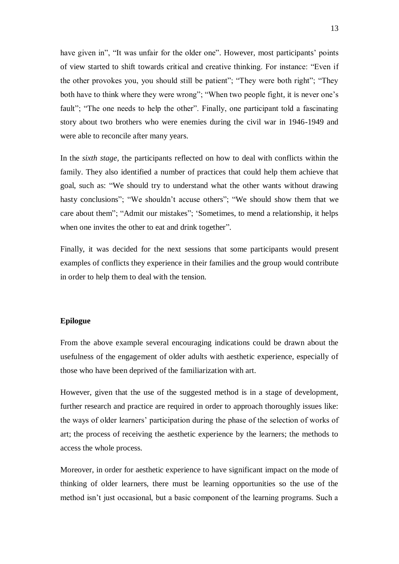have given in", "It was unfair for the older one". However, most participants' points of view started to shift towards critical and creative thinking. For instance: "Even if the other provokes you, you should still be patient"; "They were both right"; "They both have to think where they were wrong"; "When two people fight, it is never one's fault"; "The one needs to help the other". Finally, one participant told a fascinating story about two brothers who were enemies during the civil war in 1946-1949 and were able to reconcile after many years.

In the *sixth stage,* the participants reflected on how to deal with conflicts within the family. They also identified a number of practices that could help them achieve that goal, such as: "We should try to understand what the other wants without drawing hasty conclusions"; "We shouldn't accuse others"; "We should show them that we care about them"; "Admit our mistakes"; 'Sometimes, to mend a relationship, it helps when one invites the other to eat and drink together".

Finally, it was decided for the next sessions that some participants would present examples of conflicts they experience in their families and the group would contribute in order to help them to deal with the tension.

## **Epilogue**

From the above example several encouraging indications could be drawn about the usefulness of the engagement of older adults with aesthetic experience, especially of those who have been deprived of the familiarization with art.

However, given that the use of the suggested method is in a stage of development, further research and practice are required in order to approach thoroughly issues like: the ways of older learners' participation during the phase of the selection of works of art; the process of receiving the aesthetic experience by the learners; the methods to access the whole process.

Moreover, in order for aesthetic experience to have significant impact on the mode of thinking of older learners, there must be learning opportunities so the use of the method isn't just occasional, but a basic component of the learning programs. Such a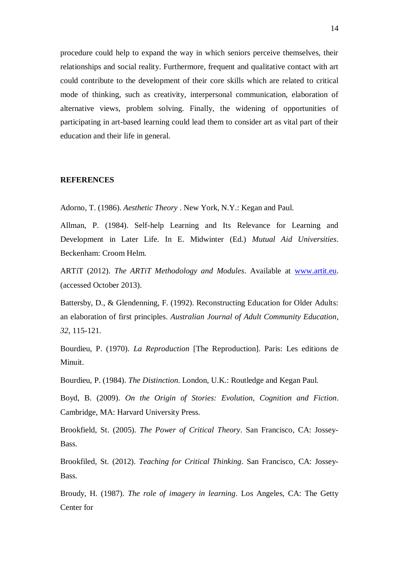procedure could help to expand the way in which seniors perceive themselves, their relationships and social reality. Furthermore, frequent and qualitative contact with art could contribute to the development of their core skills which are related to critical mode of thinking, such as creativity, interpersonal communication, elaboration of alternative views, problem solving. Finally, the widening of opportunities of participating in art-based learning could lead them to consider art as vital part of their education and their life in general.

#### **REFERENCES**

Adorno, T. (1986). *Aesthetic Theory* . New York, N.Y.: Kegan and Paul.

Allman, P. (1984). Self-help Learning and Its Relevance for Learning and Development in Later Life. In E. Midwinter (Ed.) *Mutual Aid Universities*. Beckenham: Croom Helm.

ARTiT (2012). *The ARTiT Methodology and Modules*. Available at [www.artit.eu.](http://www.artit.eu/) (accessed October 2013).

Battersby, D., & Glendenning, F. (1992). Reconstructing Education for Older Adults: an elaboration of first principles. *Australian Journal of Adult Community Education*, *32*, 115-121.

Bourdieu, P. (1970). *La Reproduction* [The Reproduction]. Paris: Les editions de Minuit.

Bourdieu, P. (1984). *The Distinction*. London, U.K.: Routledge and Kegan Paul.

Boyd, B. (2009). *On the Origin of Stories: Evolution, Cognition and Fiction*. Cambridge, MA: Harvard University Press.

Brookfield, St. (2005). *The Power of Critical Theory*. San Francisco, CA: Jossey-Bass.

Brookfiled, St. (2012). *Teaching for Critical Thinking*. San Francisco, CA: Jossey-Bass.

Broudy, H. (1987). *The role of imagery in learning*. Los Angeles, CA: The Getty Center for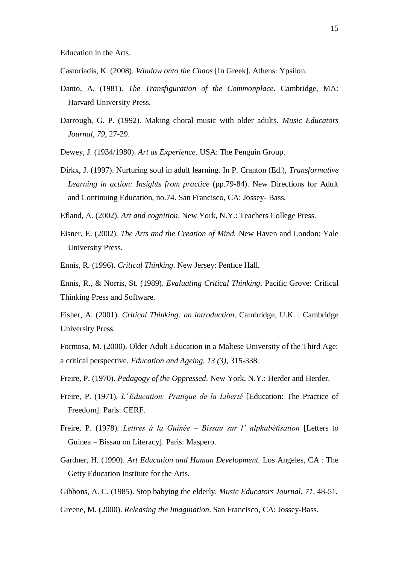Education in the Arts.

- Castoriadis, K. (2008). *Window onto the Chaos* [In Greek]. Athens: Ypsilon.
- Danto, A. (1981). *The Transfiguration of the Commonplace*. Cambridge, MA: Harvard University Press.
- Darrough, G. P. (1992). Making choral music with older adults. *Music Educators Journal*, *79*, 27-29.
- Dewey, J. (1934/1980). *Art as Experience*. USA: The Penguin Group.
- Dirkx, J. (1997). Nurturing soul in adult learning. In P. Cranton (Ed.), *Transformative Learning in action: Insights from practice* (pp.79-84). New Directions for Adult and Continuing Education, no.74. San Francisco, CA: Jossey- Bass.
- Efland, A. (2002). *Art and cognition*. New York, N.Y.: Teachers College Press.
- Eisner, E. (2002). *The Arts and the Creation of Mind.* New Haven and London: Yale University Press.
- Ennis, R. (1996). *Critical Thinking*. New Jersey: Pentice Hall.
- Ennis, R., & Norris, St. (1989). *Evaluating Critical Thinking*. Pacific Grove: Critical Thinking Press and Software.

Fisher, A. (2001). *Critical Thinking: an introduction*. Cambridge, U.K. : Cambridge University Press.

- Formosa, M. (2000). Older Adult Education in a Maltese University of the Third Age: a critical perspective. *Education and Ageing*, *13 (3)*, 315-338.
- Freire, P. (1970). *Pedagogy of the Oppressed*. New York, N.Y.: Herder and Herder.
- Freire, P. (1971). *L'Education: Pratique de la Liberté* [Education: The Practice of Freedom]. Paris: CERF.
- Freire, P. (1978). *Lettres à la Guinée Bissau sur l' alphabétisation* [Letters to Guinea – Bissau on Literacy]. Paris: Maspero.
- Gardner, H. (1990). *Art Education and Human Development.* Los Angeles, CA : The Getty Education Institute for the Arts.
- Gibbons, A. C. (1985). Stop babying the elderly. *Music Educators Journal*, *71,* 48-51.
- Greene, M. (2000). *Releasing the Imagination*. San Francisco, CA: Jossey-Bass.